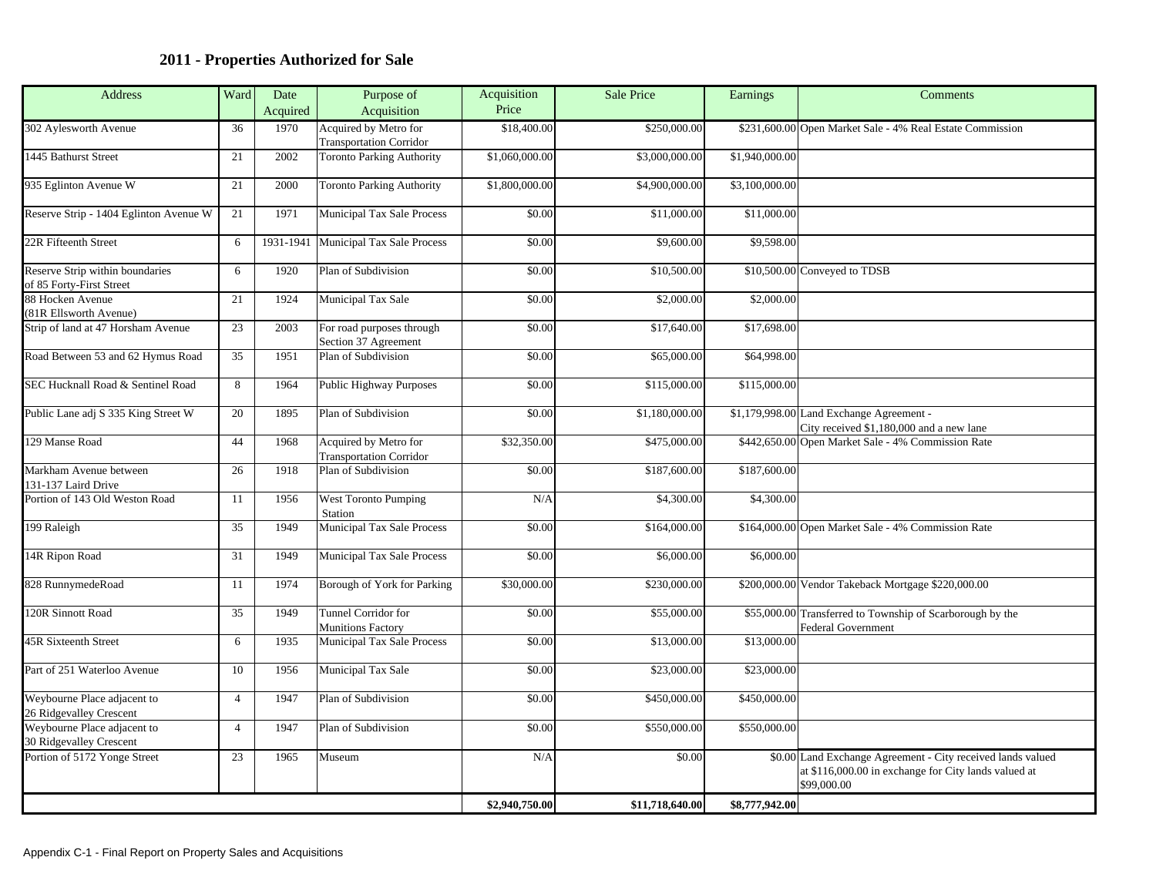## **2011 - Properties Authorized for Sale**

| Address                                                                               |                | Ward Date   | Purpose of                                            | Acquisition<br>Price | Sale Price                       | Earnings                     | Comments                                                                                                            |
|---------------------------------------------------------------------------------------|----------------|-------------|-------------------------------------------------------|----------------------|----------------------------------|------------------------------|---------------------------------------------------------------------------------------------------------------------|
|                                                                                       |                | Acquire     | Acquisition                                           |                      |                                  |                              |                                                                                                                     |
| 302 Aylesworth Avenue                                                                 | 36 I           |             | 1970 Acquired by Metro for<br>Transportation Corridor | \$18,400.00          | \$250,000.00                     |                              | \$231,600.00 Open Market Sale - 4% Real Estate Commission                                                           |
| 1445 Bathurst Street                                                                  |                |             | 21 2002 Toronto Parking Authority                     | \$1,060,000.00       | \$3,000,000.00                   | \$1,940,000.00               |                                                                                                                     |
| 935 Eglinton Avenue W                                                                 |                |             | 21 2000 Toronto Parking Authority                     | \$1,800,000.00       | \$4,900,000.00                   | \$3,100,000.00               |                                                                                                                     |
| Reserve Strip - 1404 Eglinton Avenue W                                                |                |             | 1971 Municipal Tax Sale Process                       | \$0.00               | \$11,000.00                      | \$11,000.00                  |                                                                                                                     |
| 22R Fifteenth Street                                                                  |                |             | 6 1931-1941 Municipal Tax Sale Process                | \$0.00               | \$9,600.00                       | \$9,598.00                   |                                                                                                                     |
|                                                                                       |                |             |                                                       |                      |                                  |                              |                                                                                                                     |
| Reserve Strip within boundaries<br>of 85 Forty-First Street                           |                |             | 1920 Plan of Subdivision                              | \$0.00               | \$10,500.00                      | \$10,500.00 Conveyed to TDSB |                                                                                                                     |
| 88 Hocken Avenue                                                                      |                |             | 21 1924 Municipal Tax Sale                            | \$0.00               | \$2,000.00                       | \$2,000.00                   |                                                                                                                     |
| (81R Ellsworth Avenue)<br>Strip of land at 47 Horsham Avenue                          |                |             | 2003 For road purposes through                        | \$0.00               | \$17,640.00                      | \$17,698.00                  |                                                                                                                     |
| Road Between 53 and 62 Hymus Road                                                     |                |             | Section 37 Agreement<br>1951 Plan of Subdivision      | \$0.00               | \$65,000.00                      |                              |                                                                                                                     |
|                                                                                       |                |             |                                                       |                      |                                  | \$64,998.00                  |                                                                                                                     |
| SEC Hucknall Road & Sentinel Road                                                     |                |             | 1964 Public Highway Purposes                          | \$0.00               | \$115,000.00                     | \$115,000.00                 |                                                                                                                     |
| Public Lane adj S 335 King Street W                                                   |                |             | 1895 Plan of Subdivision                              | \$0.00               | \$1,180,000.00                   |                              | \$1,179,998.00 Land Exchange Agreement -                                                                            |
| 129 Manse Road                                                                        | 44             |             | 1968 Acquired by Metro for                            | \$32,350.00          | \$475,000.00                     |                              | City received \$1,180,000 and a new lane<br>\$442,650.00 Open Market Sale - 4% Commission Rate                      |
|                                                                                       |                |             | <b>Transportation Corridor</b>                        |                      |                                  |                              |                                                                                                                     |
| Markham Avenue between<br>131-137 Laird Drive                                         |                |             | 26 1918 Plan of Subdivision                           | \$0.00               | \$187,600.00                     | \$187,600.00                 |                                                                                                                     |
| Portion of 143 Old Weston Road                                                        | 11             |             | 1956 West Toronto Pumping<br>Statior                  | N/A                  | \$4,300.00                       | \$4,300.00                   |                                                                                                                     |
| 199 Raleigh                                                                           |                |             | 1949 Municipal Tax Sale Process                       | \$0.00               | \$164,000.00                     |                              | \$164,000.00 Open Market Sale - 4% Commission Rate                                                                  |
| 14R Ripon Road                                                                        |                |             | 1949 Municipal Tax Sale Process                       | \$0.00               | \$6,000.00                       | \$6,000.00                   |                                                                                                                     |
|                                                                                       |                |             |                                                       |                      |                                  |                              |                                                                                                                     |
| 828 RunnymedeRoad                                                                     | $\frac{11}{1}$ |             | 1974 Borough of York for Parking                      | \$30,000.00          | \$230,000.00                     |                              | \$200,000.00 Vendor Takeback Mortgage \$220,000.00                                                                  |
| 120R Sinnott Road                                                                     |                |             | 1949 Tunnel Corridor for<br><b>Munitions Factory</b>  | \$0.00               | \$55,000.00                      |                              | \$55,000.00 Transferred to Township of Scarborough by the<br>Federal Government                                     |
| 45R Sixteenth Street                                                                  |                |             | 1935 Municipal Tax Sale Process                       | \$0.00               | \$13,000.00                      | \$13,000.00                  |                                                                                                                     |
| Part of 251 Waterloo Avenue                                                           |                |             | 1956 Municipal Tax Sale                               | \$0.00               | \$23,000.00                      | \$23,000.00                  |                                                                                                                     |
|                                                                                       |                |             |                                                       |                      |                                  |                              |                                                                                                                     |
| Weybourne Place adjacent to<br>26 Ridgevalley Crescent<br>Weybourne Place adjacent to |                |             | 1947 Plan of Subdivision                              | \$0.00               | \$450,000.00                     | \$450,000.00                 |                                                                                                                     |
| 30 Ridgevalley Crescent                                                               | $4 \mid$       |             | 1947 Plan of Subdivision                              | \$0.00               | \$550,000.00                     | \$550,000.00                 |                                                                                                                     |
| Portion of 5172 Yonge Street                                                          | 23             | 1965 Museum |                                                       | N/A                  | \$0.00                           |                              | \$0.00 Land Exchange Agreement - City received lands valued<br>at \$116,000.00 in exchange for City lands valued at |
|                                                                                       |                |             |                                                       |                      |                                  |                              | \$99,000.00                                                                                                         |
|                                                                                       |                |             |                                                       | \$2,940,750.00       | $$11,718,640.00$ $$8,777,942.00$ |                              |                                                                                                                     |